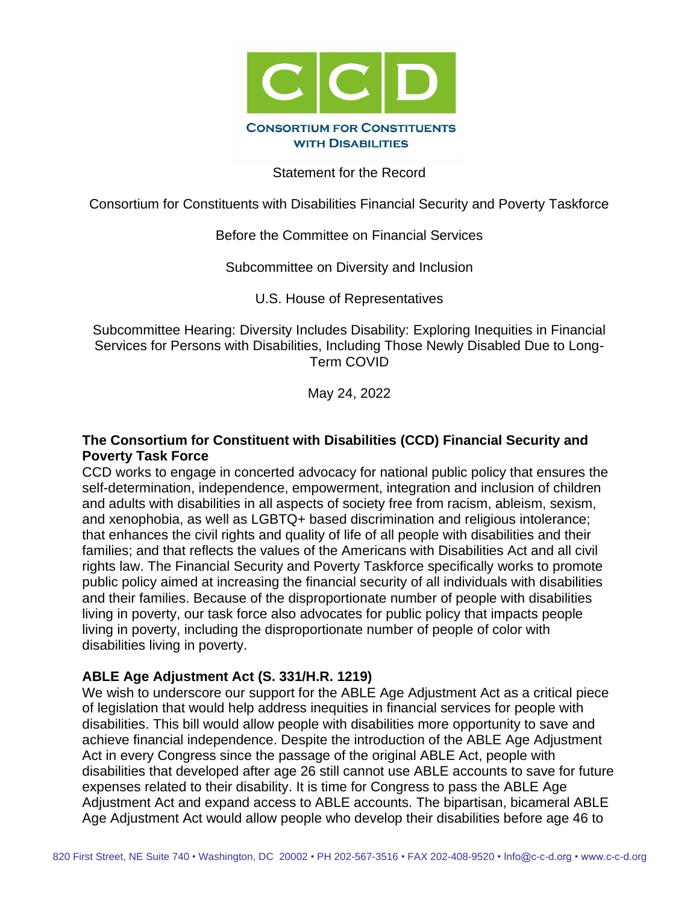

Statement for the Record

Consortium for Constituents with Disabilities Financial Security and Poverty Taskforce

#### Before the Committee on Financial Services

Subcommittee on Diversity and Inclusion

U.S. House of Representatives

Subcommittee Hearing: Diversity Includes Disability: Exploring Inequities in Financial Services for Persons with Disabilities, Including Those Newly Disabled Due to Long-Term COVID

May 24, 2022

#### **The Consortium for Constituent with Disabilities (CCD) Financial Security and Poverty Task Force**

CCD works to engage in concerted advocacy for national public policy that ensures the self-determination, independence, empowerment, integration and inclusion of children and adults with disabilities in all aspects of society free from racism, ableism, sexism, and xenophobia, as well as LGBTQ+ based discrimination and religious intolerance; that enhances the civil rights and quality of life of all people with disabilities and their families; and that reflects the values of the Americans with Disabilities Act and all civil rights law. The Financial Security and Poverty Taskforce specifically works to promote public policy aimed at increasing the financial security of all individuals with disabilities and their families. Because of the disproportionate number of people with disabilities living in poverty, our task force also advocates for public policy that impacts people living in poverty, including the disproportionate number of people of color with disabilities living in poverty.

# **ABLE Age Adjustment Act (S. 331/H.R. 1219)**

We wish to underscore our support for the ABLE Age Adjustment Act as a critical piece of legislation that would help address inequities in financial services for people with disabilities. This bill would allow people with disabilities more opportunity to save and achieve financial independence. Despite the introduction of the ABLE Age Adjustment Act in every Congress since the passage of the original ABLE Act, people with disabilities that developed after age 26 still cannot use ABLE accounts to save for future expenses related to their disability. It is time for Congress to pass the ABLE Age Adjustment Act and expand access to ABLE accounts. The bipartisan, bicameral ABLE Age Adjustment Act would allow people who develop their disabilities before age 46 to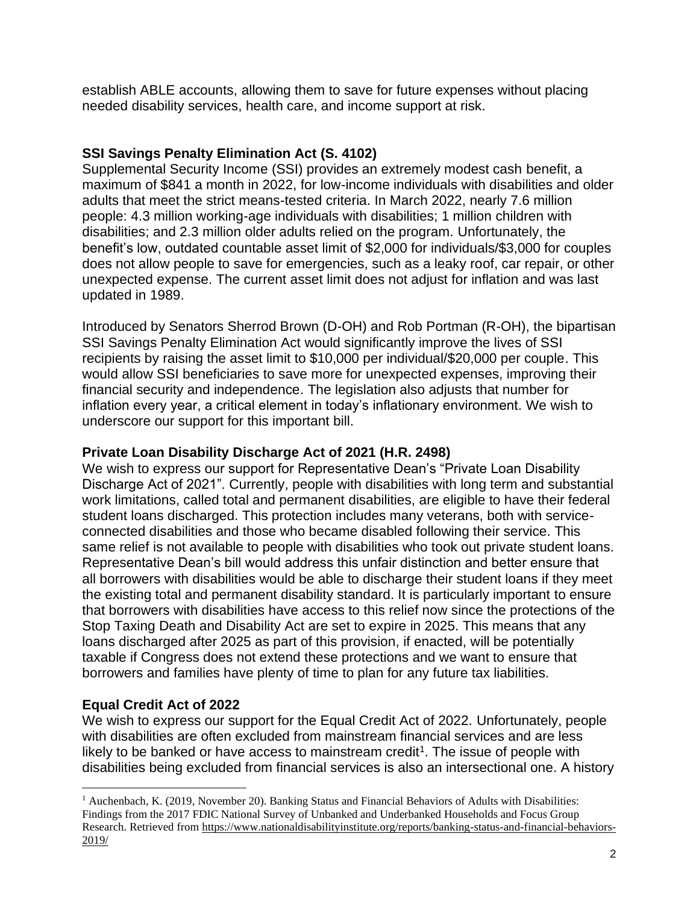establish ABLE accounts, allowing them to save for future expenses without placing needed disability services, health care, and income support at risk.

# **SSI Savings Penalty Elimination Act (S. 4102)**

Supplemental Security Income (SSI) provides an extremely modest cash benefit, a maximum of \$841 a month in 2022, for low-income individuals with disabilities and older adults that meet the strict means-tested criteria. In March 2022, nearly 7.6 million people: 4.3 million working-age individuals with disabilities; 1 million children with disabilities; and 2.3 million older adults relied on the program. Unfortunately, the benefit's low, outdated countable asset limit of \$2,000 for individuals/\$3,000 for couples does not allow people to save for emergencies, such as a leaky roof, car repair, or other unexpected expense. The current asset limit does not adjust for inflation and was last updated in 1989.

Introduced by Senators Sherrod Brown (D-OH) and Rob Portman (R-OH), the bipartisan SSI Savings Penalty Elimination Act would significantly improve the lives of SSI recipients by raising the asset limit to \$10,000 per individual/\$20,000 per couple. This would allow SSI beneficiaries to save more for unexpected expenses, improving their financial security and independence. The legislation also adjusts that number for inflation every year, a critical element in today's inflationary environment. We wish to underscore our support for this important bill.

### **Private Loan Disability Discharge Act of 2021 (H.R. 2498)**

We wish to express our support for Representative Dean's "Private Loan Disability Discharge Act of 2021". Currently, people with disabilities with long term and substantial work limitations, called total and permanent disabilities, are eligible to have their federal student loans discharged. This protection includes many veterans, both with serviceconnected disabilities and those who became disabled following their service. This same relief is not available to people with disabilities who took out private student loans. Representative Dean's bill would address this unfair distinction and better ensure that all borrowers with disabilities would be able to discharge their student loans if they meet the existing total and permanent disability standard. It is particularly important to ensure that borrowers with disabilities have access to this relief now since the protections of the Stop Taxing Death and Disability Act are set to expire in 2025. This means that any loans discharged after 2025 as part of this provision, if enacted, will be potentially taxable if Congress does not extend these protections and we want to ensure that borrowers and families have plenty of time to plan for any future tax liabilities.

# **Equal Credit Act of 2022**

We wish to express our support for the Equal Credit Act of 2022. Unfortunately, people with disabilities are often excluded from mainstream financial services and are less likely to be banked or have access to mainstream credit<sup>1</sup>. The issue of people with disabilities being excluded from financial services is also an intersectional one. A history

 $<sup>1</sup>$  Auchenbach, K. (2019, November 20). Banking Status and Financial Behaviors of Adults with Disabilities:</sup> Findings from the 2017 FDIC National Survey of Unbanked and Underbanked Households and Focus Group Research. Retrieved from [https://www.nationaldisabilityinstitute.org/reports/banking-status-and-financial-behaviors-](https://www.nationaldisabilityinstitute.org/reports/banking-status-and-financial-behaviors-2019/)[2019/](https://www.nationaldisabilityinstitute.org/reports/banking-status-and-financial-behaviors-2019/)